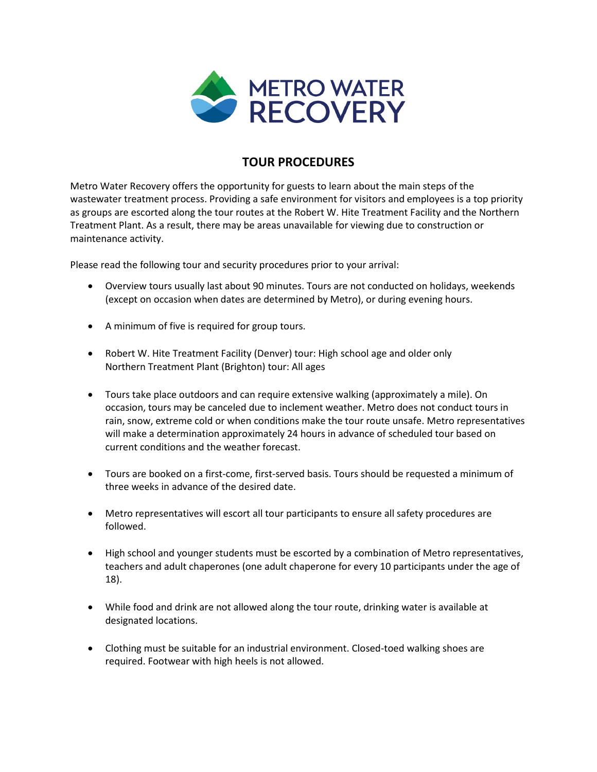

## **TOUR PROCEDURES**

Metro Water Recovery offers the opportunity for guests to learn about the main steps of the wastewater treatment process. Providing a safe environment for visitors and employees is a top priority as groups are escorted along the tour routes at the Robert W. Hite Treatment Facility and the Northern Treatment Plant. As a result, there may be areas unavailable for viewing due to construction or maintenance activity.

Please read the following tour and security procedures prior to your arrival:

- Overview tours usually last about 90 minutes. Tours are not conducted on holidays, weekends (except on occasion when dates are determined by Metro), or during evening hours.
- A minimum of five is required for group tours.
- Robert W. Hite Treatment Facility (Denver) tour: High school age and older only Northern Treatment Plant (Brighton) tour: All ages
- Tours take place outdoors and can require extensive walking (approximately a mile). On occasion, tours may be canceled due to inclement weather. Metro does not conduct tours in rain, snow, extreme cold or when conditions make the tour route unsafe. Metro representatives will make a determination approximately 24 hours in advance of scheduled tour based on current conditions and the weather forecast.
- Tours are booked on a first-come, first-served basis. Tours should be requested a minimum of three weeks in advance of the desired date.
- Metro representatives will escort all tour participants to ensure all safety procedures are followed.
- High school and younger students must be escorted by a combination of Metro representatives, teachers and adult chaperones (one adult chaperone for every 10 participants under the age of 18).
- While food and drink are not allowed along the tour route, drinking water is available at designated locations.
- Clothing must be suitable for an industrial environment. Closed-toed walking shoes are required. Footwear with high heels is not allowed.